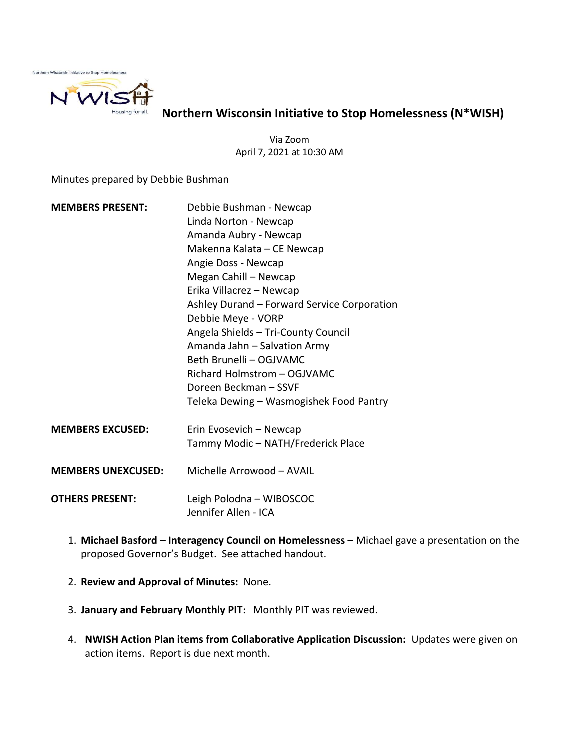

Northern Wisconsin Initiative to Stop Homelessness (N\*WISH)

Via Zoom April 7, 2021 at 10:30 AM

Minutes prepared by Debbie Bushman

| <b>MEMBERS PRESENT:</b>   | Debbie Bushman - Newcap                     |
|---------------------------|---------------------------------------------|
|                           | Linda Norton - Newcap                       |
|                           | Amanda Aubry - Newcap                       |
|                           | Makenna Kalata – CE Newcap                  |
|                           | Angie Doss - Newcap                         |
|                           | Megan Cahill - Newcap                       |
|                           | Erika Villacrez - Newcap                    |
|                           | Ashley Durand - Forward Service Corporation |
|                           | Debbie Meye - VORP                          |
|                           | Angela Shields - Tri-County Council         |
|                           | Amanda Jahn - Salvation Army                |
|                           | Beth Brunelli - OGJVAMC                     |
|                           | Richard Holmstrom - OGJVAMC                 |
|                           | Doreen Beckman – SSVF                       |
|                           | Teleka Dewing – Wasmogishek Food Pantry     |
| <b>MEMBERS EXCUSED:</b>   | Erin Evosevich - Newcap                     |
|                           | Tammy Modic - NATH/Frederick Place          |
| <b>MEMBERS UNEXCUSED:</b> | Michelle Arrowood - AVAIL                   |
| <b>OTHERS PRESENT:</b>    | Leigh Polodna - WIBOSCOC                    |
|                           |                                             |

- 1. Michael Basford Interagency Council on Homelessness Michael gave a presentation on the proposed Governor's Budget. See attached handout.
- 2. Review and Approval of Minutes: None.
- 3. January and February Monthly PIT: Monthly PIT was reviewed.

Jennifer Allen - ICA

4. NWISH Action Plan items from Collaborative Application Discussion: Updates were given on action items. Report is due next month.